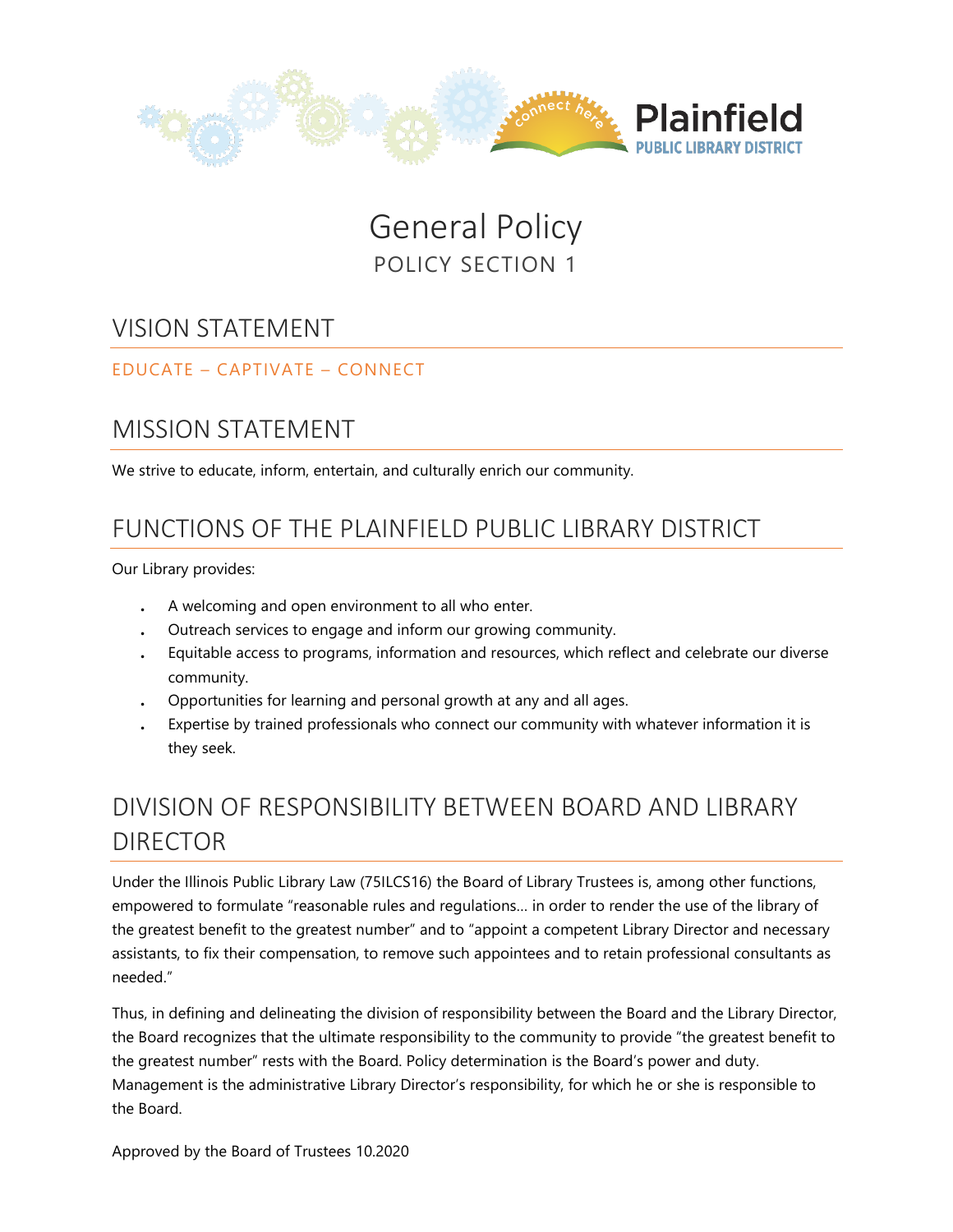

# General Policy POLICY SECTION 1

#### VISION STATEMENT

#### EDUCATE – CAPTIVATE – CONNECT

### MISSION STATEMENT

We strive to educate, inform, entertain, and culturally enrich our community.

### FUNCTIONS OF THE PLAINFIELD PUBLIC LIBRARY DISTRICT

Our Library provides:

- . A welcoming and open environment to all who enter.
- . Outreach services to engage and inform our growing community.
- . Equitable access to programs, information and resources, which reflect and celebrate our diverse community.
- . Opportunities for learning and personal growth at any and all ages.
- . Expertise by trained professionals who connect our community with whatever information it is they seek.

# DIVISION OF RESPONSIBILITY BETWEEN BOARD AND LIBRARY DIRECTOR

Under the Illinois Public Library Law (75ILCS16) the Board of Library Trustees is, among other functions, empowered to formulate "reasonable rules and regulations… in order to render the use of the library of the greatest benefit to the greatest number" and to "appoint a competent Library Director and necessary assistants, to fix their compensation, to remove such appointees and to retain professional consultants as needed."

Thus, in defining and delineating the division of responsibility between the Board and the Library Director, the Board recognizes that the ultimate responsibility to the community to provide "the greatest benefit to the greatest number" rests with the Board. Policy determination is the Board's power and duty. Management is the administrative Library Director's responsibility, for which he or she is responsible to the Board.

Approved by the Board of Trustees 10.2020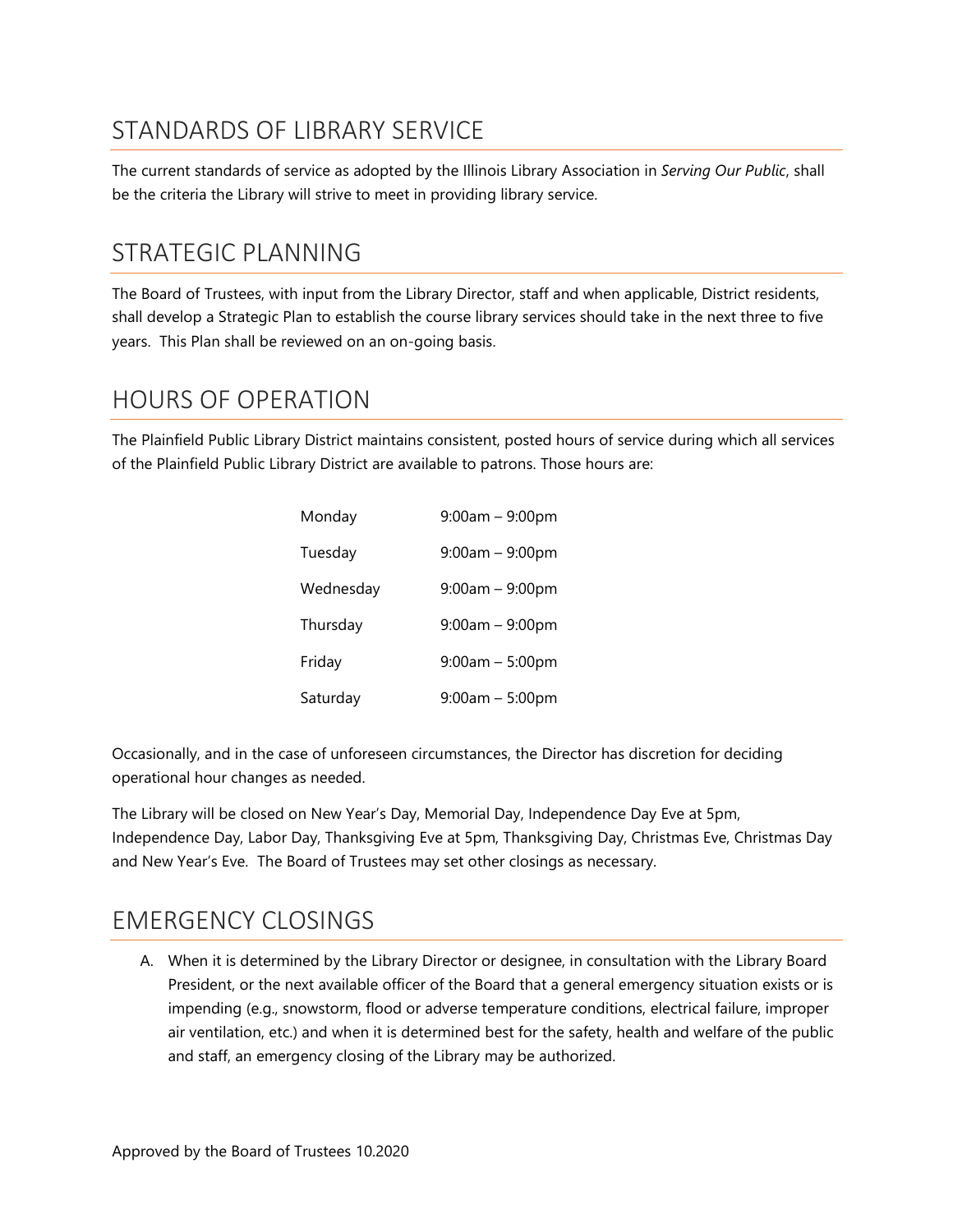## STANDARDS OF LIBRARY SERVICE

The current standards of service as adopted by the Illinois Library Association in *Serving Our Public*, shall be the criteria the Library will strive to meet in providing library service.

### STRATEGIC PLANNING

The Board of Trustees, with input from the Library Director, staff and when applicable, District residents, shall develop a Strategic Plan to establish the course library services should take in the next three to five years. This Plan shall be reviewed on an on-going basis.

### HOURS OF OPERATION

The Plainfield Public Library District maintains consistent, posted hours of service during which all services of the Plainfield Public Library District are available to patrons. Those hours are:

| Monday    | $9:00am - 9:00pm$ |
|-----------|-------------------|
| Tuesday   | $9:00am - 9:00pm$ |
| Wednesday | $9:00am - 9:00pm$ |
| Thursday  | $9:00am - 9:00pm$ |
| Friday    | $9:00am - 5:00pm$ |
| Saturday  | $9:00am - 5:00pm$ |

Occasionally, and in the case of unforeseen circumstances, the Director has discretion for deciding operational hour changes as needed.

The Library will be closed on New Year's Day, Memorial Day, Independence Day Eve at 5pm, Independence Day, Labor Day, Thanksgiving Eve at 5pm, Thanksgiving Day, Christmas Eve, Christmas Day and New Year's Eve. The Board of Trustees may set other closings as necessary.

#### EMERGENCY CLOSINGS

A. When it is determined by the Library Director or designee, in consultation with the Library Board President, or the next available officer of the Board that a general emergency situation exists or is impending (e.g., snowstorm, flood or adverse temperature conditions, electrical failure, improper air ventilation, etc.) and when it is determined best for the safety, health and welfare of the public and staff, an emergency closing of the Library may be authorized.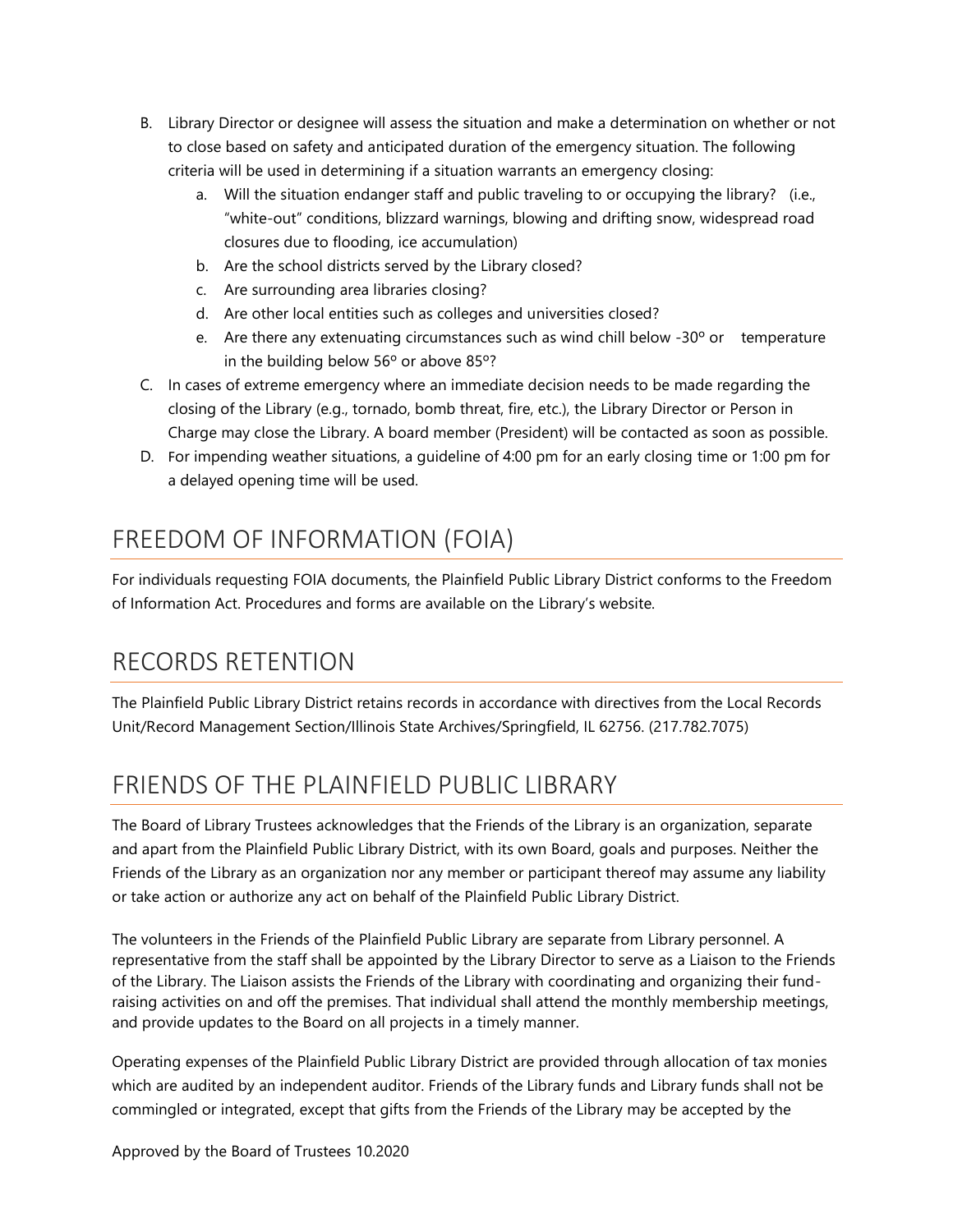- B. Library Director or designee will assess the situation and make a determination on whether or not to close based on safety and anticipated duration of the emergency situation. The following criteria will be used in determining if a situation warrants an emergency closing:
	- a. Will the situation endanger staff and public traveling to or occupying the library? (i.e., "white-out" conditions, blizzard warnings, blowing and drifting snow, widespread road closures due to flooding, ice accumulation)
	- b. Are the school districts served by the Library closed?
	- c. Are surrounding area libraries closing?
	- d. Are other local entities such as colleges and universities closed?
	- e. Are there any extenuating circumstances such as wind chill below  $-30^{\circ}$  or temperature in the building below 56º or above 85º?
- C. In cases of extreme emergency where an immediate decision needs to be made regarding the closing of the Library (e.g., tornado, bomb threat, fire, etc.), the Library Director or Person in Charge may close the Library. A board member (President) will be contacted as soon as possible.
- D. For impending weather situations, a guideline of 4:00 pm for an early closing time or 1:00 pm for a delayed opening time will be used.

## FREEDOM OF INFORMATION (FOIA)

For individuals requesting FOIA documents, the Plainfield Public Library District conforms to the Freedom of Information Act. Procedures and forms are available on the Library's website.

## RECORDS RETENTION

The Plainfield Public Library District retains records in accordance with directives from the Local Records Unit/Record Management Section/Illinois State Archives/Springfield, IL 62756. (217.782.7075)

# FRIENDS OF THE PLAINFIELD PUBLIC LIBRARY

The Board of Library Trustees acknowledges that the Friends of the Library is an organization, separate and apart from the Plainfield Public Library District, with its own Board, goals and purposes. Neither the Friends of the Library as an organization nor any member or participant thereof may assume any liability or take action or authorize any act on behalf of the Plainfield Public Library District.

The volunteers in the Friends of the Plainfield Public Library are separate from Library personnel. A representative from the staff shall be appointed by the Library Director to serve as a Liaison to the Friends of the Library. The Liaison assists the Friends of the Library with coordinating and organizing their fundraising activities on and off the premises. That individual shall attend the monthly membership meetings, and provide updates to the Board on all projects in a timely manner.

Operating expenses of the Plainfield Public Library District are provided through allocation of tax monies which are audited by an independent auditor. Friends of the Library funds and Library funds shall not be commingled or integrated, except that gifts from the Friends of the Library may be accepted by the

Approved by the Board of Trustees 10.2020